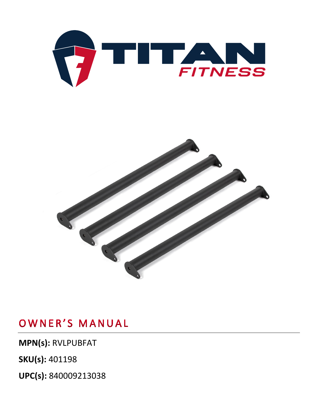



**MPN(s):** RVLPUBFAT

**SKU(s):** 401198

**UPC(s):** 840009213038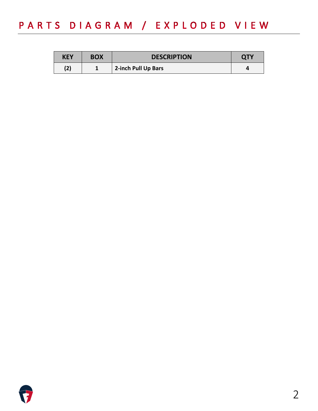## PARTS DIAGRAM / EXPLODED VIEW

| <b>KEY</b> | <b>BOX</b> | <b>DESCRIPTION</b>  | <b>QTY</b> |
|------------|------------|---------------------|------------|
| (2)        |            | 2-inch Pull Up Bars |            |